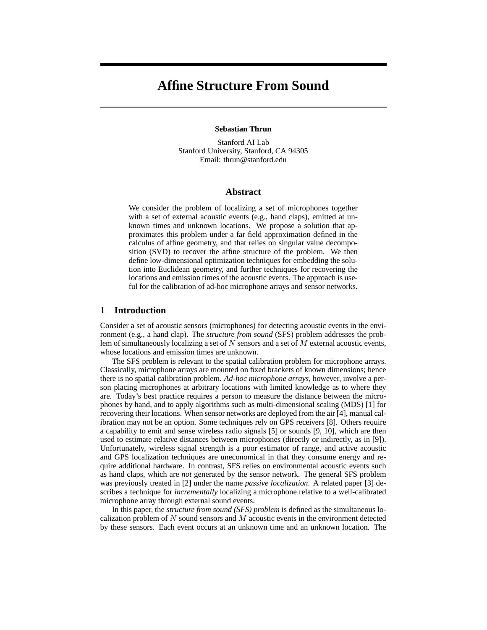# **Affine Structure From Sound**

## **Sebastian Thrun**

Stanford AI Lab Stanford University, Stanford, CA 94305 Email: thrun@stanford.edu

# **Abstract**

We consider the problem of localizing a set of microphones together with a set of external acoustic events (e.g., hand claps), emitted at unknown times and unknown locations. We propose a solution that approximates this problem under a far field approximation defined in the calculus of affine geometry, and that relies on singular value decomposition (SVD) to recover the affine structure of the problem. We then define low-dimensional optimization techniques for embedding the solution into Euclidean geometry, and further techniques for recovering the locations and emission times of the acoustic events. The approach is useful for the calibration of ad-hoc microphone arrays and sensor networks.

# **1 Introduction**

Consider a set of acoustic sensors (microphones) for detecting acoustic events in the environment (e.g., a hand clap). The *structure from sound* (SFS) problem addresses the problem of simultaneously localizing a set of  $N$  sensors and a set of  $M$  external acoustic events, whose locations and emission times are unknown.

The SFS problem is relevant to the spatial calibration problem for microphone arrays. Classically, microphone arrays are mounted on fixed brackets of known dimensions; hence there is no spatial calibration problem. *Ad-hoc microphone arrays*, however, involve a person placing microphones at arbitrary locations with limited knowledge as to where they are. Today's best practice requires a person to measure the distance between the microphones by hand, and to apply algorithms such as multi-dimensional scaling (MDS) [1] for recovering their locations. When sensor networks are deployed from the air [4], manual calibration may not be an option. Some techniques rely on GPS receivers [8]. Others require a capability to emit and sense wireless radio signals [5] or sounds [9, 10], which are then used to estimate relative distances between microphones (directly or indirectly, as in [9]). Unfortunately, wireless signal strength is a poor estimator of range, and active acoustic and GPS localization techniques are uneconomical in that they consume energy and require additional hardware. In contrast, SFS relies on environmental acoustic events such as hand claps, which are *not* generated by the sensor network. The general SFS problem was previously treated in [2] under the name *passive localization*. A related paper [3] describes a technique for *incrementally* localizing a microphone relative to a well-calibrated microphone array through external sound events.

In this paper, the *structure from sound (SFS) problem* is defined as the simultaneous localization problem of N sound sensors and M acoustic events in the environment detected by these sensors. Each event occurs at an unknown time and an unknown location. The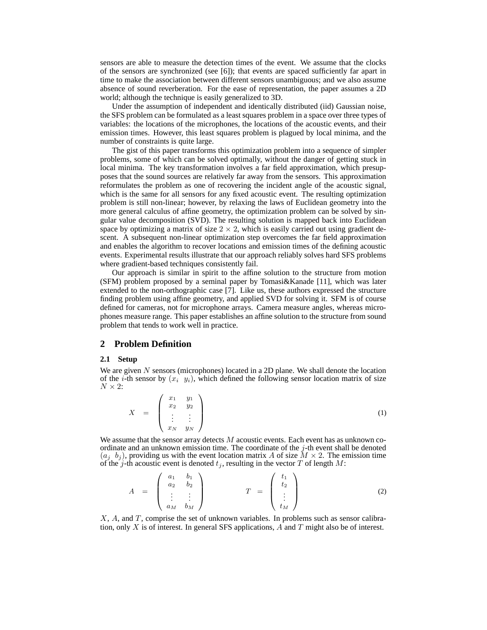sensors are able to measure the detection times of the event. We assume that the clocks of the sensors are synchronized (see [6]); that events are spaced sufficiently far apart in time to make the association between different sensors unambiguous; and we also assume absence of sound reverberation. For the ease of representation, the paper assumes a 2D world; although the technique is easily generalized to 3D.

Under the assumption of independent and identically distributed (iid) Gaussian noise, the SFS problem can be formulated as a least squares problem in a space over three types of variables: the locations of the microphones, the locations of the acoustic events, and their emission times. However, this least squares problem is plagued by local minima, and the number of constraints is quite large.

The gist of this paper transforms this optimization problem into a sequence of simpler problems, some of which can be solved optimally, without the danger of getting stuck in local minima. The key transformation involves a far field approximation, which presupposes that the sound sources are relatively far away from the sensors. This approximation reformulates the problem as one of recovering the incident angle of the acoustic signal, which is the same for all sensors for any fixed acoustic event. The resulting optimization problem is still non-linear; however, by relaxing the laws of Euclidean geometry into the more general calculus of affine geometry, the optimization problem can be solved by singular value decomposition (SVD). The resulting solution is mapped back into Euclidean space by optimizing a matrix of size  $2 \times 2$ , which is easily carried out using gradient descent. A subsequent non-linear optimization step overcomes the far field approximation and enables the algorithm to recover locations and emission times of the defining acoustic events. Experimental results illustrate that our approach reliably solves hard SFS problems where gradient-based techniques consistently fail.

Our approach is similar in spirit to the affine solution to the structure from motion (SFM) problem proposed by a seminal paper by Tomasi&Kanade [11], which was later extended to the non-orthographic case [7]. Like us, these authors expressed the structure finding problem using affine geometry, and applied SVD for solving it. SFM is of course defined for cameras, not for microphone arrays. Camera measure angles, whereas microphones measure range. This paper establishes an affine solution to the structure from sound problem that tends to work well in practice.

# **2 Problem Definition**

## **2.1 Setup**

We are given  $N$  sensors (microphones) located in a 2D plane. We shall denote the location of the *i*-th sensor by  $(x_i, y_i)$ , which defined the following sensor location matrix of size  $N \times 2$ :

$$
X = \begin{pmatrix} x_1 & y_1 \\ x_2 & y_2 \\ \vdots & \vdots \\ x_N & y_N \end{pmatrix}
$$
 (1)

We assume that the sensor array detects  $M$  acoustic events. Each event has as unknown coordinate and an unknown emission time. The coordinate of the  $j$ -th event shall be denoted  $(a_i, b_i)$ , providing us with the event location matrix A of size  $M \times 2$ . The emission time of the j-th acoustic event is denoted  $t_j$ , resulting in the vector T of length M:

$$
A = \begin{pmatrix} a_1 & b_1 \\ a_2 & b_2 \\ \vdots & \vdots \\ a_M & b_M \end{pmatrix} \qquad T = \begin{pmatrix} t_1 \\ t_2 \\ \vdots \\ t_M \end{pmatrix} \qquad (2)
$$

 $X, A$ , and T, comprise the set of unknown variables. In problems such as sensor calibration, only X is of interest. In general SFS applications,  $A$  and  $T$  might also be of interest.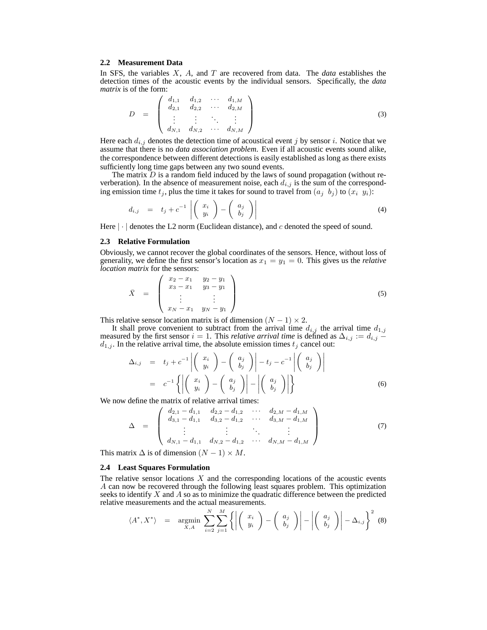#### **2.2 Measurement Data**

In SFS, the variables X, A, and T are recovered from data. The *data* establishes the detection times of the acoustic events by the individual sensors. Specifically, the *data matrix* is of the form:

$$
D = \left(\begin{array}{cccc} d_{1,1} & d_{1,2} & \cdots & d_{1,M} \\ d_{2,1} & d_{2,2} & \cdots & d_{2,M} \\ \vdots & \vdots & \ddots & \vdots \\ d_{N,1} & d_{N,2} & \cdots & d_{N,M} \end{array}\right) \tag{3}
$$

Here each  $d_{i,j}$  denotes the detection time of acoustical event j by sensor i. Notice that we assume that there is no *data association problem*. Even if all acoustic events sound alike, the correspondence between different detections is easily established as long as there exists sufficiently long time gaps between any two sound events.

The matrix  $D$  is a random field induced by the laws of sound propagation (without reverberation). In the absence of measurement noise, each  $d_{i,j}$  is the sum of the corresponding emission time  $t_j$ , plus the time it takes for sound to travel from  $(a_j \; b_j)$  to  $(x_i \; y_i)$ :

$$
d_{i,j} = t_j + c^{-1} \left| \left( \begin{array}{c} x_i \\ y_i \end{array} \right) - \left( \begin{array}{c} a_j \\ b_j \end{array} \right) \right| \tag{4}
$$

Here  $|\cdot|$  denotes the L2 norm (Euclidean distance), and c denoted the speed of sound.

## **2.3 Relative Formulation**

Obviously, we cannot recover the global coordinates of the sensors. Hence, without loss of generality, we define the first sensor's location as  $x_1 = y_1 = 0$ . This gives us the *relative location matrix* for the sensors:

$$
\bar{X} = \begin{pmatrix} x_2 - x_1 & y_2 - y_1 \\ x_3 - x_1 & y_3 - y_1 \\ \vdots & \vdots \\ x_N - x_1 & y_N - y_1 \end{pmatrix}
$$
 (5)

This relative sensor location matrix is of dimension  $(N - 1) \times 2$ .

It shall prove convenient to subtract from the arrival time  $d_{i,j}$  the arrival time  $d_{1,j}$ measured by the first sensor  $i = 1$ . This *relative arrival time* is defined as  $\Delta_{i,j} := d_{i,j}$  $d_{1,j}$ . In the relative arrival time, the absolute emission times  $t_j$  cancel out:

$$
\Delta_{i,j} = t_j + c^{-1} \left| \begin{pmatrix} x_i \\ y_i \end{pmatrix} - \begin{pmatrix} a_j \\ b_j \end{pmatrix} \right| - t_j - c^{-1} \left| \begin{pmatrix} a_j \\ b_j \end{pmatrix} \right|
$$
  
=  $c^{-1} \left\{ \left| \begin{pmatrix} x_i \\ y_i \end{pmatrix} - \begin{pmatrix} a_j \\ b_j \end{pmatrix} \right| - \left| \begin{pmatrix} a_j \\ b_j \end{pmatrix} \right| \right\}$  (6)

We now define the matrix of relative arrival times:

$$
\Delta = \begin{pmatrix} d_{2,1} - d_{1,1} & d_{2,2} - d_{1,2} & \cdots & d_{2,M} - d_{1,M} \\ d_{3,1} - d_{1,1} & d_{3,2} - d_{1,2} & \cdots & d_{3,M} - d_{1,M} \\ \vdots & \vdots & \ddots & \vdots \\ d_{N,1} - d_{1,1} & d_{N,2} - d_{1,2} & \cdots & d_{N,M} - d_{1,M} \end{pmatrix}
$$
(7)

This matrix  $\Delta$  is of dimension  $(N - 1) \times M$ .

#### **2.4 Least Squares Formulation**

The relative sensor locations  $X$  and the corresponding locations of the acoustic events A can now be recovered through the following least squares problem. This optimization seeks to identify  $X$  and  $A$  so as to minimize the quadratic difference between the predicted relative measurements and the actual measurements.

$$
\langle A^*, X^* \rangle = \underset{X, A}{\text{argmin}} \sum_{i=2}^N \sum_{j=1}^M \left\{ \left| \begin{pmatrix} x_i \\ y_i \end{pmatrix} - \begin{pmatrix} a_j \\ b_j \end{pmatrix} \right| - \left| \begin{pmatrix} a_j \\ b_j \end{pmatrix} \right| - \Delta_{i,j} \right\}^2 \tag{8}
$$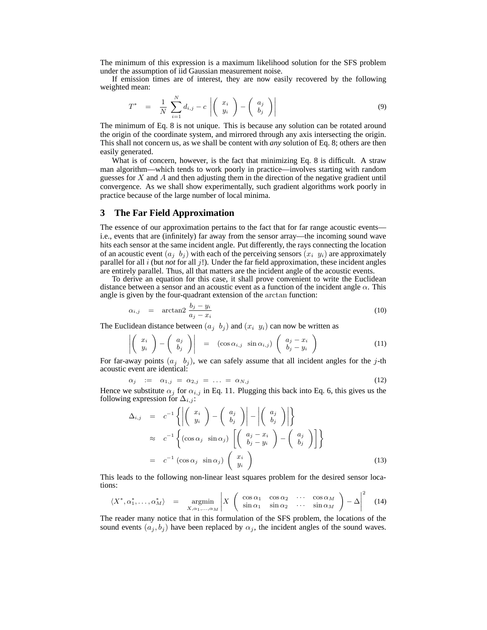The minimum of this expression is a maximum likelihood solution for the SFS problem under the assumption of iid Gaussian measurement noise.

If emission times are of interest, they are now easily recovered by the following weighted mean:

$$
T^* = \frac{1}{N} \sum_{i=1}^N d_{i,j} - c \left| \begin{pmatrix} x_i \\ y_i \end{pmatrix} - \begin{pmatrix} a_j \\ b_j \end{pmatrix} \right| \tag{9}
$$

The minimum of Eq. 8 is not unique. This is because any solution can be rotated around the origin of the coordinate system, and mirrored through any axis intersecting the origin. This shall not concern us, as we shall be content with *any* solution of Eq. 8; others are then easily generated.

What is of concern, however, is the fact that minimizing Eq. 8 is difficult. A straw man algorithm—which tends to work poorly in practice—involves starting with random guesses for  $X$  and  $A$  and then adjusting them in the direction of the negative gradient until convergence. As we shall show experimentally, such gradient algorithms work poorly in practice because of the large number of local minima.

## **3 The Far Field Approximation**

The essence of our approximation pertains to the fact that for far range acoustic events i.e., events that are (infinitely) far away from the sensor array—the incoming sound wave hits each sensor at the same incident angle. Put differently, the rays connecting the location of an acoustic event  $(a_i, b_i)$  with each of the perceiving sensors  $(x_i, y_i)$  are approximately parallel for all  $i$  (but *not* for all  $j$ !). Under the far field approximation, these incident angles are entirely parallel. Thus, all that matters are the incident angle of the acoustic events.

To derive an equation for this case, it shall prove convenient to write the Euclidean distance between a sensor and an acoustic event as a function of the incident angle  $\alpha$ . This angle is given by the four-quadrant extension of the arctan function:

$$
\alpha_{i,j} = \arctan 2 \frac{b_j - y_i}{a_j - x_i} \tag{10}
$$

The Euclidean distance between  $(a_j, b_j)$  and  $(x_i, y_i)$  can now be written as

$$
\left| \left( \begin{array}{c} x_i \\ y_i \end{array} \right) - \left( \begin{array}{c} a_j \\ b_j \end{array} \right) \right| = (\cos \alpha_{i,j} \sin \alpha_{i,j}) \left( \begin{array}{c} a_j - x_i \\ b_j - y_i \end{array} \right) \tag{11}
$$

For far-away points  $(a_i, b_i)$ , we can safely assume that all incident angles for the j-th acoustic event are identical:

$$
\alpha_j \quad := \quad \alpha_{1,j} \ = \ \alpha_{2,j} \ = \ \ldots \ = \ \alpha_{N,j} \tag{12}
$$

Hence we substitute  $\alpha_j$  for  $\alpha_{i,j}$  in Eq. 11. Plugging this back into Eq. 6, this gives us the following expression for  $\Delta_{i,j}$ :

$$
\Delta_{i,j} = c^{-1} \left\{ \left| \begin{pmatrix} x_i \\ y_i \end{pmatrix} - \begin{pmatrix} a_j \\ b_j \end{pmatrix} \right| - \left| \begin{pmatrix} a_j \\ b_j \end{pmatrix} \right| \right\}
$$
  
\n
$$
\approx c^{-1} \left\{ (\cos \alpha_j \sin \alpha_j) \left[ \begin{pmatrix} a_j - x_i \\ b_j - y_i \end{pmatrix} - \begin{pmatrix} a_j \\ b_j \end{pmatrix} \right] \right\}
$$
  
\n
$$
= c^{-1} (\cos \alpha_j \sin \alpha_j) \begin{pmatrix} x_i \\ y_i \end{pmatrix}
$$
 (13)

This leads to the following non-linear least squares problem for the desired sensor locations:

$$
\langle X^*, \alpha_1^*, \dots, \alpha_M^* \rangle = \operatorname*{argmin}_{X, \alpha_1, \dots, \alpha_M} \left| X \left( \begin{array}{ccc} \cos \alpha_1 & \cos \alpha_2 & \cdots & \cos \alpha_M \\ \sin \alpha_1 & \sin \alpha_2 & \cdots & \sin \alpha_M \end{array} \right) - \Delta \right|^2 \tag{14}
$$

The reader many notice that in this formulation of the SFS problem, the locations of the sound events  $(a_j, b_j)$  have been replaced by  $\alpha_j$ , the incident angles of the sound waves.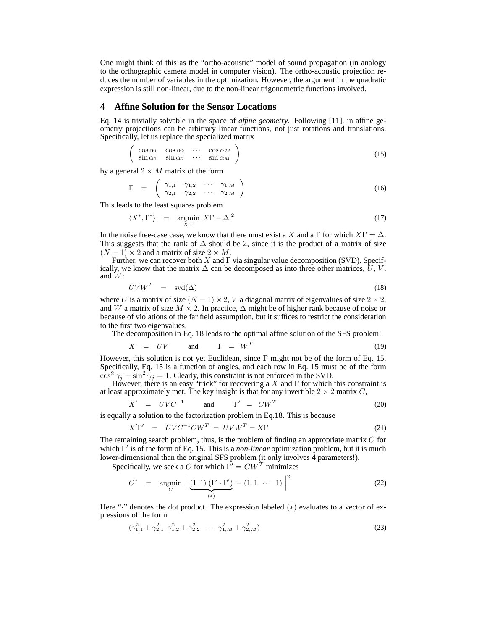One might think of this as the "ortho-acoustic" model of sound propagation (in analogy to the orthographic camera model in computer vision). The ortho-acoustic projection reduces the number of variables in the optimization. However, the argument in the quadratic expression is still non-linear, due to the non-linear trigonometric functions involved.

# **4 Affine Solution for the Sensor Locations**

Eq. 14 is trivially solvable in the space of *affine geometry*. Following [11], in affine geometry projections can be arbitrary linear functions, not just rotations and translations. Specifically, let us replace the specialized matrix

$$
\begin{pmatrix}\n\cos \alpha_1 & \cos \alpha_2 & \cdots & \cos \alpha_M \\
\sin \alpha_1 & \sin \alpha_2 & \cdots & \sin \alpha_M\n\end{pmatrix}
$$
\n(15)

by a general  $2 \times M$  matrix of the form

$$
\Gamma = \begin{pmatrix} \gamma_{1,1} & \gamma_{1,2} & \cdots & \gamma_{1,M} \\ \gamma_{2,1} & \gamma_{2,2} & \cdots & \gamma_{2,M} \end{pmatrix}
$$
 (16)

This leads to the least squares problem

$$
\langle X^*, \Gamma^* \rangle = \underset{X, \Gamma}{\text{argmin}} |X\Gamma - \Delta|^2 \tag{17}
$$

In the noise free-case case, we know that there must exist a X and a  $\Gamma$  for which  $X\Gamma = \Delta$ . This suggests that the rank of  $\Delta$  should be 2, since it is the product of a matrix of size  $(N-1) \times 2$  and a matrix of size  $2 \times M$ .

Further, we can recover both X and  $\Gamma$  via singular value decomposition (SVD). Specifically, we know that the matrix  $\Delta$  can be decomposed as into three other matrices, U, V, and  $W$ :

$$
UVW^{T} = \text{svd}(\Delta) \tag{18}
$$

where U is a matrix of size  $(N - 1) \times 2$ , V a diagonal matrix of eigenvalues of size  $2 \times 2$ , and W a matrix of size  $M \times 2$ . In practice,  $\Delta$  might be of higher rank because of noise or because of violations of the far field assumption, but it suffices to restrict the consideration to the first two eigenvalues.

The decomposition in Eq. 18 leads to the optimal affine solution of the SFS problem:

$$
X = UV \qquad \text{and} \qquad \Gamma = W^T \tag{19}
$$

However, this solution is not yet Euclidean, since Γ might not be of the form of Eq. 15. Specifically, Eq. 15 is a function of angles, and each row in Eq. 15 must be of the form  $\cos^2 \gamma_j + \sin^2 \gamma_j = 1$ . Clearly, this constraint is not enforced in the SVD.

However, there is an easy "trick" for recovering a X and  $\Gamma$  for which this constraint is at least approximately met. The key insight is that for any invertible  $2 \times 2$  matrix C,

$$
X' = UVC^{-1} \qquad \text{and} \qquad \Gamma' = CW^T \tag{20}
$$

is equally a solution to the factorization problem in Eq.18. This is because

$$
X'\Gamma' = UVC^{-1}CW^T = UVW^T = X\Gamma
$$
\n(21)

The remaining search problem, thus, is the problem of finding an appropriate matrix  $C$  for which Γ' is of the form of Eq. 15. This is a *non-linear* optimization problem, but it is much lower-dimensional than the original SFS problem (it only involves 4 parameters!).

Specifically, we seek a C for which  $\Gamma' = CW^T$  minimizes

$$
C^* = \underset{C}{\text{argmin}} \left| \underbrace{(1 \ 1) \ (\Gamma' \cdot \Gamma')}_{(*)} - (1 \ 1 \ \cdots \ 1) \right|^2 \tag{22}
$$

Here " $\cdot$ " denotes the dot product. The expression labeled  $(*)$  evaluates to a vector of expressions of the form

$$
(\gamma_{1,1}^2 + \gamma_{2,1}^2 \gamma_{1,2}^2 + \gamma_{2,2}^2 \cdots \gamma_{1,M}^2 + \gamma_{2,M}^2)
$$
 (23)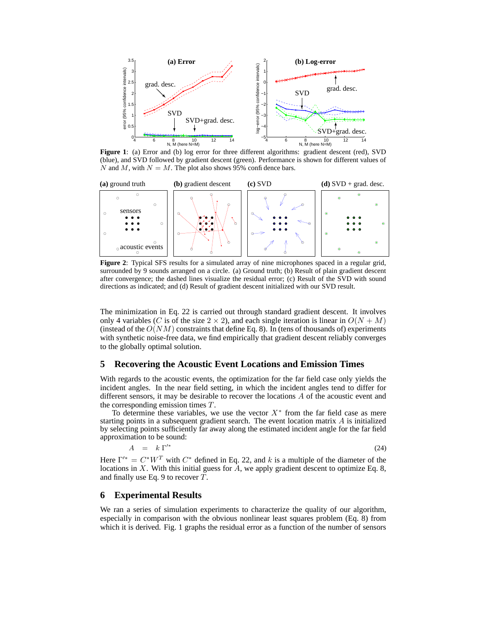

**Figure 1**: (a) Error and (b) log error for three different algorithms: gradient descent (red), SVD (blue), and SVD followed by gradient descent (green). Performance is shown for different values of N and M, with  $N = M$ . The plot also shows 95% confidence bars.



**Figure 2**: Typical SFS results for a simulated array of nine microphones spaced in a regular grid, surrounded by 9 sounds arranged on a circle. (a) Ground truth; (b) Result of plain gradient descent after convergence; the dashed lines visualize the residual error; (c) Result of the SVD with sound directions as indicated; and (d) Result of gradient descent initialized with our SVD result.

The minimization in Eq. 22 is carried out through standard gradient descent. It involves only 4 variables (C is of the size  $2 \times 2$ ), and each single iteration is linear in  $O(N + M)$ (instead of the  $O(NM)$  constraints that define Eq. 8). In (tens of thousands of) experiments with synthetic noise-free data, we find empirically that gradient descent reliably converges to the globally optimal solution.

# **5 Recovering the Acoustic Event Locations and Emission Times**

With regards to the acoustic events, the optimization for the far field case only yields the incident angles. In the near field setting, in which the incident angles tend to differ for different sensors, it may be desirable to recover the locations A of the acoustic event and the corresponding emission times T.

To determine these variables, we use the vector  $X^*$  from the far field case as mere starting points in a subsequent gradient search. The event location matrix  $A$  is initialized by selecting points sufficiently far away along the estimated incident angle for the far field approximation to be sound:

$$
A = k \Gamma'^* \tag{24}
$$

Here  $\Gamma^{\prime *} = C^* W^T$  with  $C^*$  defined in Eq. 22, and k is a multiple of the diameter of the locations in  $X$ . With this initial guess for  $A$ , we apply gradient descent to optimize Eq. 8, and finally use Eq. 9 to recover T.

## **6 Experimental Results**

We ran a series of simulation experiments to characterize the quality of our algorithm, especially in comparison with the obvious nonlinear least squares problem (Eq. 8) from which it is derived. Fig. 1 graphs the residual error as a function of the number of sensors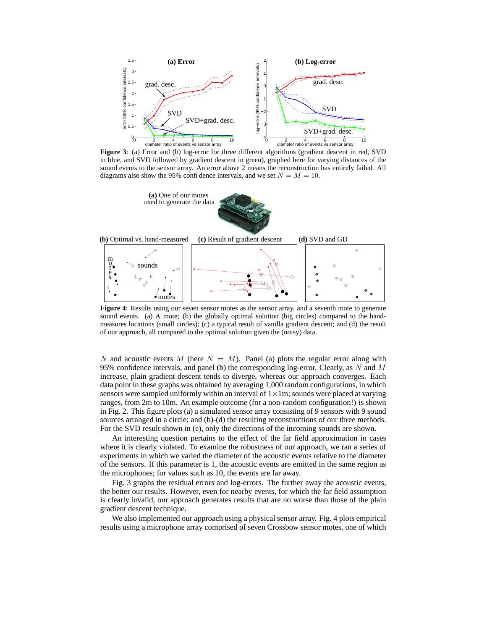

**Figure 3**: (a) Error and (b) log-error for three different algorithms (gradient descent in red, SVD in blue, and SVD followed by gradient descent in green), graphed here for varying distances of the sound events to the sensor array. An error above 2 means the reconstruction has entirely failed. All diagrams also show the 95% confidence intervals, and we set  $N = M = 10$ .



**Figure 4:** Results using our seven sensor motes as the sensor array, and a seventh mote to generate sound events. (a) A mote; (b) the globally optimal solution (big circles) compared to the handmeasures locations (small circles); (c) a typical result of vanilla gradient descent; and (d) the result of our approach, all compared to the optimal solution given the (noisy) data.

N and acoustic events M (here  $N = M$ ). Panel (a) plots the regular error along with 95% confidence intervals, and panel (b) the corresponding log-error. Clearly, as  $N$  and  $M$ increase, plain gradient descent tends to diverge, whereas our approach converges. Each data point in these graphs was obtained by averaging 1,000 random configurations, in which sensors were sampled uniformly within an interval of  $1 \times 1$ m; sounds were placed at varying ranges, from 2m to 10m. An example outcome (for a non-random configuration!) is shown in Fig. 2. This figure plots (a) a simulated sensor array consisting of 9 sensors with 9 sound sources arranged in a circle; and (b)-(d) the resulting reconstructions of our three methods. For the SVD result shown in (c), only the directions of the incoming sounds are shown.

An interesting question pertains to the effect of the far field approximation in cases where it is clearly violated. To examine the robustness of our approach, we ran a series of experiments in which we varied the diameter of the acoustic events relative to the diameter of the sensors. If this parameter is 1, the acoustic events are emitted in the same region as the microphones; for values such as 10, the events are far away.

Fig. 3 graphs the residual errors and log-errors. The further away the acoustic events, the better our results. However, even for nearby events, for which the far field assumption is clearly invalid, our approach generates results that are no worse than those of the plain gradient descent technique.

We also implemented our approach using a physical sensor array. Fig. 4 plots empirical results using a microphone array comprised of seven Crossbow sensor motes, one of which